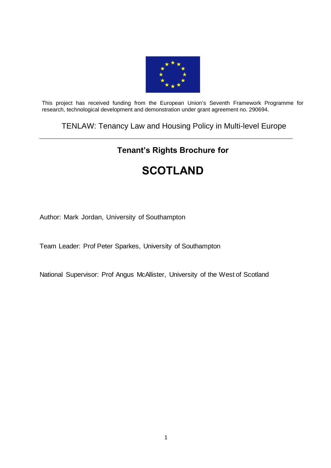

This project has received funding from the European Union's Seventh Framework Programme for research, technological development and demonstration under grant agreement no. 290694.

# TENLAW: Tenancy Law and Housing Policy in Multi-level Europe

# **Tenant's Rights Brochure for**

# **SCOTLAND**

Author: Mark Jordan, University of Southampton

Team Leader: Prof Peter Sparkes, University of Southampton

National Supervisor: Prof Angus McAllister, University of the West of Scotland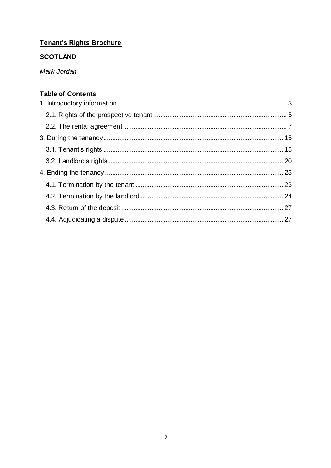# Tenant's Rights Brochure

# **SCOTLAND**

Mark Jordan

# **Table of Contents**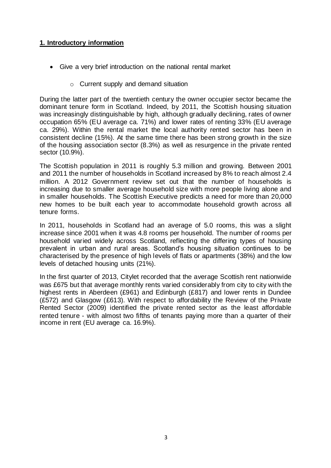#### <span id="page-2-0"></span>**1. Introductory information**

- Give a very brief introduction on the national rental market
	- o Current supply and demand situation

During the latter part of the twentieth century the owner occupier sector became the dominant tenure form in Scotland. Indeed, by 2011, the Scottish housing situation was increasingly distinguishable by high, although gradually declining, rates of owner occupation 65% (EU average ca. 71%) and lower rates of renting 33% (EU average ca. 29%). Within the rental market the local authority rented sector has been in consistent decline (15%). At the same time there has been strong growth in the size of the housing association sector (8.3%) as well as resurgence in the private rented sector (10.9%).

The Scottish population in 2011 is roughly 5.3 million and growing. Between 2001 and 2011 the number of households in Scotland increased by 8% to reach almost 2.4 million. A 2012 Government review set out that the number of households is increasing due to smaller average household size with more people living alone and in smaller households. The Scottish Executive predicts a need for more than 20,000 new homes to be built each year to accommodate household growth across all tenure forms.

In 2011, households in Scotland had an average of 5.0 rooms, this was a slight increase since 2001 when it was 4.8 rooms per household. The number of rooms per household varied widely across Scotland, reflecting the differing types of housing prevalent in urban and rural areas. Scotland's housing situation continues to be characterised by the presence of high levels of flats or apartments (38%) and the low levels of detached housing units (21%).

In the first quarter of 2013, Citylet recorded that the average Scottish rent nationwide was £675 but that average monthly rents varied considerably from city to city with the highest rents in Aberdeen (£961) and Edinburgh (£817) and lower rents in Dundee (£572) and Glasgow (£613). With respect to affordability the Review of the Private Rented Sector (2009) identified the private rented sector as the least affordable rented tenure - with almost two fifths of tenants paying more than a quarter of their income in rent (EU average ca. 16.9%).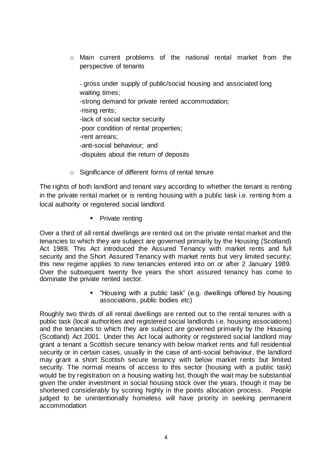o Main current problems of the national rental market from the perspective of tenants

- gross under supply of public/social housing and associated long waiting times; -strong demand for private rented accommodation; -rising rents; -lack of social sector security -poor condition of rental properties; -rent arrears; -anti-social behaviour; and -disputes about the return of deposits

o Significance of different forms of rental tenure

The rights of both landlord and tenant vary according to whether the tenant is renting in the private rental market or is renting housing with a public task i.e. renting from a local authority or registered social landlord.

• Private renting

Over a third of all rental dwellings are rented out on the private rental market and the tenancies to which they are subject are governed primarily by the Housing (Scotland) Act 1988. This Act introduced the Assured Tenancy with market rents and full security and the Short Assured Tenancy with market rents but very limited security; this new regime applies to new tenancies entered into on or after 2 January 1989. Over the subsequent twenty five years the short assured tenancy has come to dominate the private rented sector.

> "Housing with a public task" (e.g. dwellings offered by housing associations, public bodies etc)

Roughly two thirds of all rental dwellings are rented out to the rental tenures with a public task (local authorities and registered social landlords i.e. housing associations) and the tenancies to which they are subject are governed primarily by the Housing (Scotland) Act 2001. Under this Act local authority or registered social landlord may grant a tenant a Scottish secure tenancy with below market rents and full residential security or in certain cases, usually in the case of anti-social behaviour, the landlord may grant a short Scottish secure tenancy with below market rents but limited security. The normal means of access to this sector (housing with a public task) would be by registration on a housing waiting list, though the wait may be substantial given the under investment in social housing stock over the years, though it may be shortened considerably by scoring highly in the points allocation process. People judged to be unintentionally homeless will have priority in seeking permanent accommodation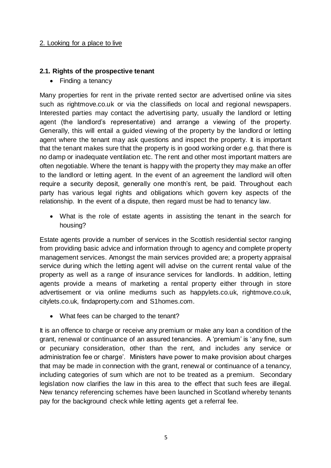#### 2. Looking for a place to live

#### <span id="page-4-0"></span>**2.1. Rights of the prospective tenant**

• Finding a tenancy

Many properties for rent in the private rented sector are advertised online via sites such as rightmove.co.uk or via the classifieds on local and regional newspapers. Interested parties may contact the advertising party, usually the landlord or letting agent (the landlord's representative) and arrange a viewing of the property. Generally, this will entail a guided viewing of the property by the landlord or letting agent where the tenant may ask questions and inspect the property. It is important that the tenant makes sure that the property is in good working order e.g. that there is no damp or inadequate ventilation etc. The rent and other most important matters are often negotiable. Where the tenant is happy with the property they may make an offer to the landlord or letting agent. In the event of an agreement the landlord will often require a security deposit, generally one month's rent, be paid. Throughout each party has various legal rights and obligations which govern key aspects of the relationship. In the event of a dispute, then regard must be had to tenancy law.

 What is the role of estate agents in assisting the tenant in the search for housing?

Estate agents provide a number of services in the Scottish residential sector ranging from providing basic advice and information through to agency and complete property management services. Amongst the main services provided are; a property appraisal service during which the letting agent will advise on the current rental value of the property as well as a range of insurance services for landlords. In addition, letting agents provide a means of marketing a rental property either through in store advertisement or via online mediums such as happylets.co.uk, rightmove.co.uk, citylets.co.uk, findaproperty.com and S1homes.com.

• What fees can be charged to the tenant?

It is an offence to charge or receive any premium or make any loan a condition of the grant, renewal or continuance of an assured tenancies. A 'premium' is 'any fine, sum or pecuniary consideration, other than the rent, and includes any service or administration fee or charge'. Ministers have power to make provision about charges that may be made in connection with the grant, renewal or continuance of a tenancy, including categories of sum which are not to be treated as a premium. Secondary legislation now clarifies the law in this area to the effect that such fees are illegal. New tenancy referencing schemes have been launched in Scotland whereby tenants pay for the background check while letting agents get a referral fee.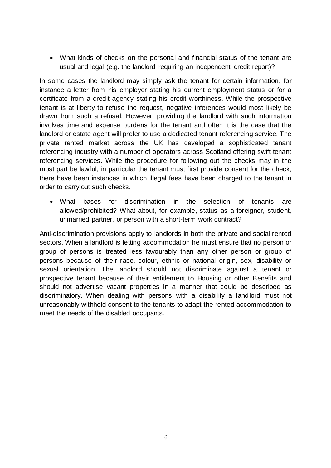What kinds of checks on the personal and financial status of the tenant are usual and legal (e.g. the landlord requiring an independent credit report)?

In some cases the landlord may simply ask the tenant for certain information, for instance a letter from his employer stating his current employment status or for a certificate from a credit agency stating his credit worthiness. While the prospective tenant is at liberty to refuse the request, negative inferences would most likely be drawn from such a refusal. However, providing the landlord with such information involves time and expense burdens for the tenant and often it is the case that the landlord or estate agent will prefer to use a dedicated tenant referencing service. The private rented market across the UK has developed a sophisticated tenant referencing industry with a number of operators across Scotland offering swift tenant referencing services. While the procedure for following out the checks may in the most part be lawful, in particular the tenant must first provide consent for the check; there have been instances in which illegal fees have been charged to the tenant in order to carry out such checks.

 What bases for discrimination in the selection of tenants are allowed/prohibited? What about, for example, status as a foreigner, student, unmarried partner, or person with a short-term work contract?

Anti-discrimination provisions apply to landlords in both the private and social rented sectors. When a landlord is letting accommodation he must ensure that no person or group of persons is treated less favourably than any other person or group of persons because of their race, colour, ethnic or national origin, sex, disability or sexual orientation. The landlord should not discriminate against a tenant or prospective tenant because of their entitlement to Housing or other Benefits and should not advertise vacant properties in a manner that could be described as discriminatory. When dealing with persons with a disability a landlord must not unreasonably withhold consent to the tenants to adapt the rented accommodation to meet the needs of the disabled occupants.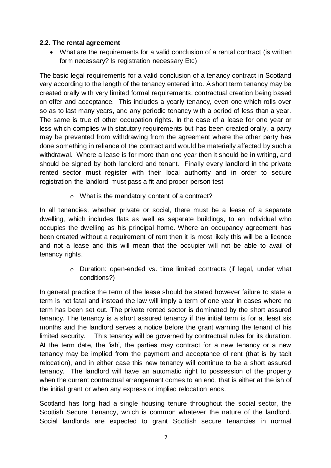#### <span id="page-6-0"></span>**2.2. The rental agreement**

 What are the requirements for a valid conclusion of a rental contract (is written form necessary? Is registration necessary Etc)

The basic legal requirements for a valid conclusion of a tenancy contract in Scotland vary according to the length of the tenancy entered into. A short term tenancy may be created orally with very limited formal requirements, contractual creation being based on offer and acceptance. This includes a yearly tenancy, even one which rolls over so as to last many years, and any periodic tenancy with a period of less than a year. The same is true of other occupation rights. In the case of a lease for one year or less which complies with statutory requirements but has been created orally, a party may be prevented from withdrawing from the agreement where the other party has done something in reliance of the contract and would be materially affected by such a withdrawal. Where a lease is for more than one year then it should be in writing, and should be signed by both landlord and tenant. Finally every landlord in the private rented sector must register with their local authority and in order to secure registration the landlord must pass a fit and proper person test

o What is the mandatory content of a contract?

In all tenancies, whether private or social, there must be a lease of a separate dwelling, which includes flats as well as separate buildings, to an individual who occupies the dwelling as his principal home. Where an occupancy agreement has been created without a requirement of rent then it is most likely this will be a licence and not a lease and this will mean that the occupier will not be able to avail of tenancy rights.

> o Duration: open-ended vs. time limited contracts (if legal, under what conditions?)

In general practice the term of the lease should be stated however failure to state a term is not fatal and instead the law will imply a term of one year in cases where no term has been set out. The private rented sector is dominated by the short assured tenancy. The tenancy is a short assured tenancy if the initial term is for at least six months and the landlord serves a notice before the grant warning the tenant of his limited security. This tenancy will be governed by contractual rules for its duration. At the term date, the 'ish', the parties may contract for a new tenancy or a new tenancy may be implied from the payment and acceptance of rent (that is by tacit relocation), and in either case this new tenancy will continue to be a short assured tenancy. The landlord will have an automatic right to possession of the property when the current contractual arrangement comes to an end, that is either at the ish of the initial grant or when any express or implied relocation ends.

Scotland has long had a single housing tenure throughout the social sector, the Scottish Secure Tenancy, which is common whatever the nature of the landlord. Social landlords are expected to grant Scottish secure tenancies in normal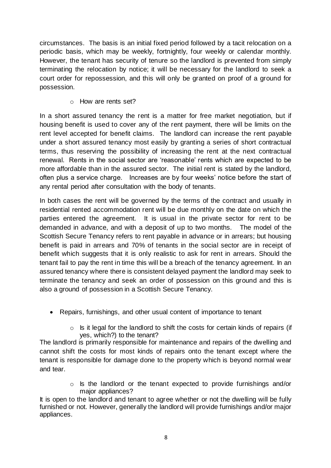circumstances. The basis is an initial fixed period followed by a tacit relocation on a periodic basis, which may be weekly, fortnightly, four weekly or calendar monthly. However, the tenant has security of tenure so the landlord is prevented from simply terminating the relocation by notice; it will be necessary for the landlord to seek a court order for repossession, and this will only be granted on proof of a ground for possession.

o How are rents set?

In a short assured tenancy the rent is a matter for free market negotiation, but if housing benefit is used to cover any of the rent payment, there will be limits on the rent level accepted for benefit claims. The landlord can increase the rent payable under a short assured tenancy most easily by granting a series of short contractual terms, thus reserving the possibility of increasing the rent at the next contractual renewal. Rents in the social sector are 'reasonable' rents which are expected to be more affordable than in the assured sector. The initial rent is stated by the landlord, often plus a service charge. Increases are by four weeks' notice before the start of any rental period after consultation with the body of tenants.

In both cases the rent will be governed by the terms of the contract and usually in residential rented accommodation rent will be due monthly on the date on which the parties entered the agreement. It is usual in the private sector for rent to be demanded in advance, and with a deposit of up to two months. The model of the Scottish Secure Tenancy refers to rent payable in advance or in arrears; but housing benefit is paid in arrears and 70% of tenants in the social sector are in receipt of benefit which suggests that it is only realistic to ask for rent in arrears. Should the tenant fail to pay the rent in time this will be a breach of the tenancy agreement. In an assured tenancy where there is consistent delayed payment the landlord may seek to terminate the tenancy and seek an order of possession on this ground and this is also a ground of possession in a Scottish Secure Tenancy.

- Repairs, furnishings, and other usual content of importance to tenant
	- $\circ$  Is it legal for the landlord to shift the costs for certain kinds of repairs (if yes, which?) to the tenant?

The landlord is primarily responsible for maintenance and repairs of the dwelling and cannot shift the costs for most kinds of repairs onto the tenant except where the tenant is responsible for damage done to the property which is beyond normal wear and tear.

> o Is the landlord or the tenant expected to provide furnishings and/or major appliances?

It is open to the landlord and tenant to agree whether or not the dwelling will be fully furnished or not. However, generally the landlord will provide furnishings and/or major appliances.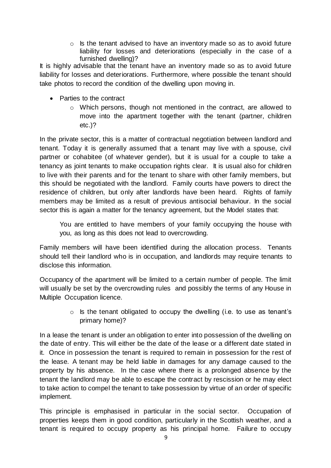$\circ$  Is the tenant advised to have an inventory made so as to avoid future liability for losses and deteriorations (especially in the case of a furnished dwelling)?

It is highly advisable that the tenant have an inventory made so as to avoid future liability for losses and deteriorations. Furthermore, where possible the tenant should take photos to record the condition of the dwelling upon moving in.

- Parties to the contract
	- $\circ$  Which persons, though not mentioned in the contract, are allowed to move into the apartment together with the tenant (partner, children etc.)?

In the private sector, this is a matter of contractual negotiation between landlord and tenant. Today it is generally assumed that a tenant may live with a spouse, civil partner or cohabitee (of whatever gender), but it is usual for a couple to take a tenancy as joint tenants to make occupation rights clear. It is usual also for children to live with their parents and for the tenant to share with other family members, but this should be negotiated with the landlord. Family courts have powers to direct the residence of children, but only after landlords have been heard. Rights of family members may be limited as a result of previous antisocial behaviour. In the social sector this is again a matter for the tenancy agreement, but the Model states that:

You are entitled to have members of your family occupying the house with you, as long as this does not lead to overcrowding.

Family members will have been identified during the allocation process. Tenants should tell their landlord who is in occupation, and landlords may require tenants to disclose this information.

Occupancy of the apartment will be limited to a certain number of people. The limit will usually be set by the overcrowding rules and possibly the terms of any House in Multiple Occupation licence.

> o Is the tenant obligated to occupy the dwelling (i.e. to use as tenant's primary home)?

In a lease the tenant is under an obligation to enter into possession of the dwelling on the date of entry. This will either be the date of the lease or a different date stated in it. Once in possession the tenant is required to remain in possession for the rest of the lease. A tenant may be held liable in damages for any damage caused to the property by his absence. In the case where there is a prolonged absence by the tenant the landlord may be able to escape the contract by rescission or he may elect to take action to compel the tenant to take possession by virtue of an order of specific implement.

This principle is emphasised in particular in the social sector. Occupation of properties keeps them in good condition, particularly in the Scottish weather, and a tenant is required to occupy property as his principal home. Failure to occupy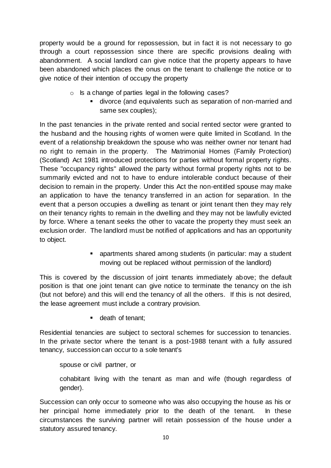property would be a ground for repossession, but in fact it is not necessary to go through a court repossession since there are specific provisions dealing with abandonment. A social landlord can give notice that the property appears to have been abandoned which places the onus on the tenant to challenge the notice or to give notice of their intention of occupy the property

- o Is a change of parties legal in the following cases?
	- divorce (and equivalents such as separation of non-married and same sex couples);

In the past tenancies in the private rented and social rented sector were granted to the husband and the housing rights of women were quite limited in Scotland. In the event of a relationship breakdown the spouse who was neither owner nor tenant had no right to remain in the property. The Matrimonial Homes (Family Protection) (Scotland) Act 1981 introduced protections for parties without formal property rights. These "occupancy rights" allowed the party without formal property rights not to be summarily evicted and not to have to endure intolerable conduct because of their decision to remain in the property. Under this Act the non-entitled spouse may make an application to have the tenancy transferred in an action for separation. In the event that a person occupies a dwelling as tenant or joint tenant then they may rely on their tenancy rights to remain in the dwelling and they may not be lawfully evicted by force. Where a tenant seeks the other to vacate the property they must seek an exclusion order. The landlord must be notified of applications and has an opportunity to object.

> apartments shared among students (in particular: may a student moving out be replaced without permission of the landlord)

This is covered by the discussion of joint tenants immediately above; the default position is that one joint tenant can give notice to terminate the tenancy on the ish (but not before) and this will end the tenancy of all the others. If this is not desired, the lease agreement must include a contrary provision.

**death of tenant;** 

Residential tenancies are subject to sectoral schemes for succession to tenancies. In the private sector where the tenant is a post-1988 tenant with a fully assured tenancy, succession can occur to a sole tenant's

spouse or civil partner, or

cohabitant living with the tenant as man and wife (though regardless of gender).

Succession can only occur to someone who was also occupying the house as his or her principal home immediately prior to the death of the tenant. In these circumstances the surviving partner will retain possession of the house under a statutory assured tenancy.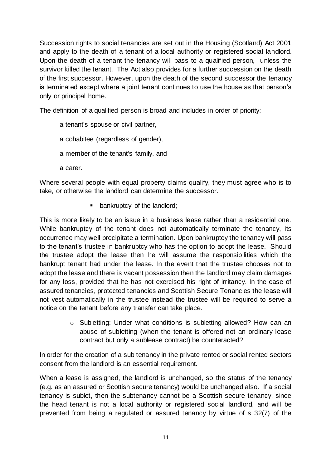Succession rights to social tenancies are set out in the Housing (Scotland) Act 2001 and apply to the death of a tenant of a local authority or registered social landlord. Upon the death of a tenant the tenancy will pass to a qualified person, unless the survivor killed the tenant. The Act also provides for a further succession on the death of the first successor. However, upon the death of the second successor the tenancy is terminated except where a joint tenant continues to use the house as that person's only or principal home.

The definition of a qualified person is broad and includes in order of priority:

- a tenant's spouse or civil partner,
- a cohabitee (regardless of gender),
- a member of the tenant's family, and
- a carer.

Where several people with equal property claims qualify, they must agree who is to take, or otherwise the landlord can determine the successor.

**•** bankruptcy of the landlord;

This is more likely to be an issue in a business lease rather than a residential one. While bankruptcy of the tenant does not automatically terminate the tenancy, its occurrence may well precipitate a termination. Upon bankruptcy the tenancy will pass to the tenant's trustee in bankruptcy who has the option to adopt the lease. Should the trustee adopt the lease then he will assume the responsibilities which the bankrupt tenant had under the lease. In the event that the trustee chooses not to adopt the lease and there is vacant possession then the landlord may claim damages for any loss, provided that he has not exercised his right of irritancy. In the case of assured tenancies, protected tenancies and Scottish Secure Tenancies the lease will not vest automatically in the trustee instead the trustee will be required to serve a notice on the tenant before any transfer can take place.

> $\circ$  Subletting: Under what conditions is subletting allowed? How can an abuse of subletting (when the tenant is offered not an ordinary lease contract but only a sublease contract) be counteracted?

In order for the creation of a sub tenancy in the private rented or social rented sectors consent from the landlord is an essential requirement.

When a lease is assigned, the landlord is unchanged, so the status of the tenancy (e.g. as an assured or Scottish secure tenancy) would be unchanged also. If a social tenancy is sublet, then the subtenancy cannot be a Scottish secure tenancy, since the head tenant is not a local authority or registered social landlord, and will be prevented from being a regulated or assured tenancy by virtue of s 32(7) of the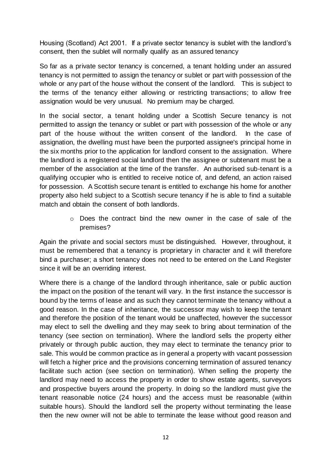Housing (Scotland) Act 2001. If a private sector tenancy is sublet with the landlord's consent, then the sublet will normally qualify as an assured tenancy

So far as a private sector tenancy is concerned, a tenant holding under an assured tenancy is not permitted to assign the tenancy or sublet or part with possession of the whole or any part of the house without the consent of the landlord. This is subject to the terms of the tenancy either allowing or restricting transactions; to allow free assignation would be very unusual. No premium may be charged.

In the social sector, a tenant holding under a Scottish Secure tenancy is not permitted to assign the tenancy or sublet or part with possession of the whole or any part of the house without the written consent of the landlord. In the case of assignation, the dwelling must have been the purported assignee's principal home in the six months prior to the application for landlord consent to the assignation. Where the landlord is a registered social landlord then the assignee or subtenant must be a member of the association at the time of the transfer. An authorised sub-tenant is a qualifying occupier who is entitled to receive notice of, and defend, an action raised for possession. A Scottish secure tenant is entitled to exchange his home for another property also held subject to a Scottish secure tenancy if he is able to find a suitable match and obtain the consent of both landlords.

> $\circ$  Does the contract bind the new owner in the case of sale of the premises?

Again the private and social sectors must be distinguished. However, throughout, it must be remembered that a tenancy is proprietary in character and it will therefore bind a purchaser; a short tenancy does not need to be entered on the Land Register since it will be an overriding interest.

Where there is a change of the landlord through inheritance, sale or public auction the impact on the position of the tenant will vary. In the first instance the successor is bound by the terms of lease and as such they cannot terminate the tenancy without a good reason. In the case of inheritance, the successor may wish to keep the tenant and therefore the position of the tenant would be unaffected, however the successor may elect to sell the dwelling and they may seek to bring about termination of the tenancy (see section on termination). Where the landlord sells the property either privately or through public auction, they may elect to terminate the tenancy prior to sale. This would be common practice as in general a property with vacant possession will fetch a higher price and the provisions concerning termination of assured tenancy facilitate such action (see section on termination). When selling the property the landlord may need to access the property in order to show estate agents, surveyors and prospective buyers around the property. In doing so the landlord must give the tenant reasonable notice (24 hours) and the access must be reasonable (within suitable hours). Should the landlord sell the property without terminating the lease then the new owner will not be able to terminate the lease without good reason and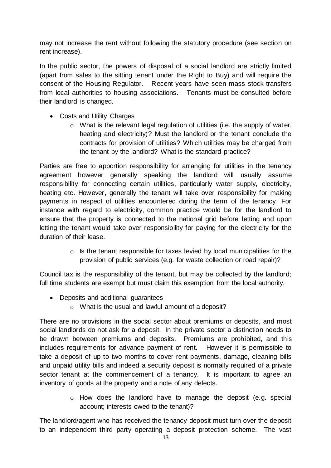may not increase the rent without following the statutory procedure (see section on rent increase).

In the public sector, the powers of disposal of a social landlord are strictly limited (apart from sales to the sitting tenant under the Right to Buy) and will require the consent of the Housing Regulator. Recent years have seen mass stock transfers from local authorities to housing associations. Tenants must be consulted before their landlord is changed.

- Costs and Utility Charges
	- o What is the relevant legal regulation of utilities (i.e. the supply of water, heating and electricity)? Must the landlord or the tenant conclude the contracts for provision of utilities? Which utilities may be charged from the tenant by the landlord? What is the standard practice?

Parties are free to apportion responsibility for arranging for utilities in the tenancy agreement however generally speaking the landlord will usually assume responsibility for connecting certain utilities, particularly water supply, electricity, heating etc. However, generally the tenant will take over responsibility for making payments in respect of utilities encountered during the term of the tenancy. For instance with regard to electricity, common practice would be for the landlord to ensure that the property is connected to the national grid before letting and upon letting the tenant would take over responsibility for paying for the electricity for the duration of their lease.

> $\circ$  Is the tenant responsible for taxes levied by local municipalities for the provision of public services (e.g. for waste collection or road repair)?

Council tax is the responsibility of the tenant, but may be collected by the landlord; full time students are exempt but must claim this exemption from the local authority.

- Deposits and additional guarantees
	- o What is the usual and lawful amount of a deposit?

There are no provisions in the social sector about premiums or deposits, and most social landlords do not ask for a deposit. In the private sector a distinction needs to be drawn between premiums and deposits. Premiums are prohibited, and this includes requirements for advance payment of rent. However it is permissible to take a deposit of up to two months to cover rent payments, damage, cleaning bills and unpaid utility bills and indeed a security deposit is normally required of a private sector tenant at the commencement of a tenancy. It is important to agree an inventory of goods at the property and a note of any defects.

> o How does the landlord have to manage the deposit (e.g. special account; interests owed to the tenant)?

The landlord/agent who has received the tenancy deposit must turn over the deposit to an independent third party operating a deposit protection scheme. The vast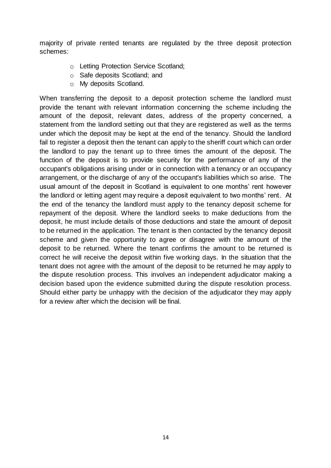majority of private rented tenants are regulated by the three deposit protection schemes:

- o Letting Protection Service Scotland;
- o Safe deposits Scotland; and
- o My deposits Scotland.

When transferring the deposit to a deposit protection scheme the landlord must provide the tenant with relevant information concerning the scheme including the amount of the deposit, relevant dates, address of the property concerned, a statement from the landlord setting out that they are registered as well as the terms under which the deposit may be kept at the end of the tenancy. Should the landlord fail to register a deposit then the tenant can apply to the sheriff court which can order the landlord to pay the tenant up to three times the amount of the deposit. The function of the deposit is to provide security for the performance of any of the occupant's obligations arising under or in connection with a tenancy or an occupancy arrangement, or the discharge of any of the occupant's liabilities which so arise. The usual amount of the deposit in Scotland is equivalent to one months' rent however the landlord or letting agent may require a deposit equivalent to two months' rent. At the end of the tenancy the landlord must apply to the tenancy deposit scheme for repayment of the deposit. Where the landlord seeks to make deductions from the deposit, he must include details of those deductions and state the amount of deposit to be returned in the application. The tenant is then contacted by the tenancy deposit scheme and given the opportunity to agree or disagree with the amount of the deposit to be returned. Where the tenant confirms the amount to be returned is correct he will receive the deposit within five working days. In the situation that the tenant does not agree with the amount of the deposit to be returned he may apply to the dispute resolution process. This involves an independent adjudicator making a decision based upon the evidence submitted during the dispute resolution process. Should either party be unhappy with the decision of the adjudicator they may apply for a review after which the decision will be final.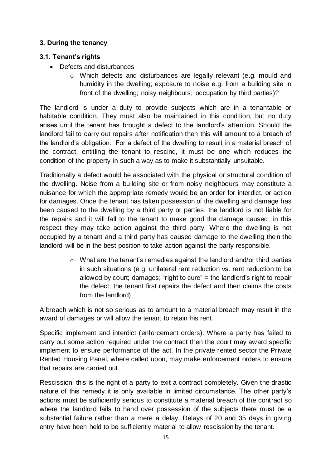## <span id="page-14-0"></span>**3. During the tenancy**

### <span id="page-14-1"></span>**3.1. Tenant's rights**

- Defects and disturbances
	- o Which defects and disturbances are legally relevant (e.g. mould and humidity in the dwelling; exposure to noise e.g. from a building site in front of the dwelling; noisy neighbours; occupation by third parties)?

The landlord is under a duty to provide subjects which are in a tenantable or habitable condition. They must also be maintained in this condition, but no duty arises until the tenant has brought a defect to the landlord's attention. Should the landlord fail to carry out repairs after notification then this will amount to a breach of the landlord's obligation. For a defect of the dwelling to result in a material breach of the contract, entitling the tenant to rescind, it must be one which reduces the condition of the property in such a way as to make it substantially unsuitable.

Traditionally a defect would be associated with the physical or structural condition of the dwelling. Noise from a building site or from noisy neighbours may constitute a nuisance for which the appropriate remedy would be an order for interdict, or action for damages. Once the tenant has taken possession of the dwelling and damage has been caused to the dwelling by a third party or parties, the landlord is not liable for the repairs and it will fall to the tenant to make good the damage caused, in this respect they may take action against the third party. Where the dwelling is not occupied by a tenant and a third party has caused damage to the dwelling then the landlord will be in the best position to take action against the party responsible.

> o What are the tenant's remedies against the landlord and/or third parties in such situations (e.g. unilateral rent reduction vs. rent reduction to be allowed by court; damages; "right to cure" = the landlord's right to repair the defect; the tenant first repairs the defect and then claims the costs from the landlord)

A breach which is not so serious as to amount to a material breach may result in the award of damages or will allow the tenant to retain his rent.

Specific implement and interdict (enforcement orders): Where a party has failed to carry out some action required under the contract then the court may award specific implement to ensure performance of the act. In the private rented sector the Private Rented Housing Panel, where called upon, may make enforcement orders to ensure that repairs are carried out.

Rescission: this is the right of a party to exit a contract completely. Given the drastic nature of this remedy it is only available in limited circumstance. The other party's actions must be sufficiently serious to constitute a material breach of the contract so where the landlord fails to hand over possession of the subjects there must be a substantial failure rather than a mere a delay. Delays of 20 and 35 days in giving entry have been held to be sufficiently material to allow rescission by the tenant.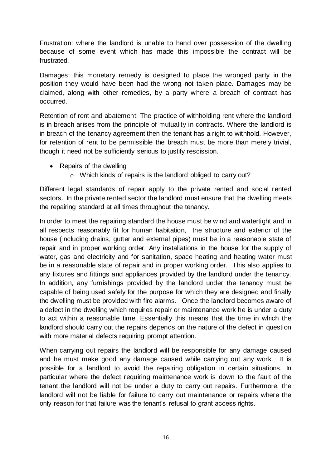Frustration: where the landlord is unable to hand over possession of the dwelling because of some event which has made this impossible the contract will be frustrated.

Damages: this monetary remedy is designed to place the wronged party in the position they would have been had the wrong not taken place. Damages may be claimed, along with other remedies, by a party where a breach of contract has occurred.

Retention of rent and abatement: The practice of withholding rent where the landlord is in breach arises from the principle of mutuality in contracts. Where the landlord is in breach of the tenancy agreement then the tenant has a right to withhold. However, for retention of rent to be permissible the breach must be more than merely trivial, though it need not be sufficiently serious to justify rescission.

- Repairs of the dwelling
	- o Which kinds of repairs is the landlord obliged to carry out?

Different legal standards of repair apply to the private rented and social rented sectors. In the private rented sector the landlord must ensure that the dwelling meets the repairing standard at all times throughout the tenancy.

In order to meet the repairing standard the house must be wind and watertight and in all respects reasonably fit for human habitation, the structure and exterior of the house (including drains, gutter and external pipes) must be in a reasonable state of repair and in proper working order. Any installations in the house for the supply of water, gas and electricity and for sanitation, space heating and heating water must be in a reasonable state of repair and in proper working order. This also applies to any fixtures and fittings and appliances provided by the landlord under the tenancy. In addition, any furnishings provided by the landlord under the tenancy must be capable of being used safely for the purpose for which they are designed and finally the dwelling must be provided with fire alarms. Once the landlord becomes aware of a defect in the dwelling which requires repair or maintenance work he is under a duty to act within a reasonable time. Essentially this means that the time in which the landlord should carry out the repairs depends on the nature of the defect in question with more material defects requiring prompt attention.

When carrying out repairs the landlord will be responsible for any damage caused and he must make good any damage caused while carrying out any work. It is possible for a landlord to avoid the repairing obligation in certain situations. In particular where the defect requiring maintenance work is down to the fault of the tenant the landlord will not be under a duty to carry out repairs. Furthermore, the landlord will not be liable for failure to carry out maintenance or repairs where the only reason for that failure was the tenant's refusal to grant access rights.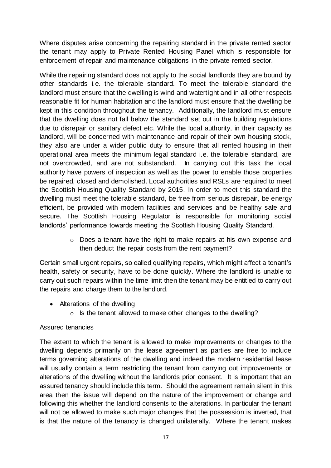Where disputes arise concerning the repairing standard in the private rented sector the tenant may apply to Private Rented Housing Panel which is responsible for enforcement of repair and maintenance obligations in the private rented sector.

While the repairing standard does not apply to the social landlords they are bound by other standards i.e. the tolerable standard. To meet the tolerable standard the landlord must ensure that the dwelling is wind and watertight and in all other respects reasonable fit for human habitation and the landlord must ensure that the dwelling be kept in this condition throughout the tenancy. Additionally, the landlord must ensure that the dwelling does not fall below the standard set out in the building regulations due to disrepair or sanitary defect etc. While the local authority, in their capacity as landlord, will be concerned with maintenance and repair of their own housing stock, they also are under a wider public duty to ensure that all rented housing in their operational area meets the minimum legal standard i.e. the tolerable standard, are not overcrowded, and are not substandard. In carrying out this task the local authority have powers of inspection as well as the power to enable those properties be repaired, closed and demolished. Local authorities and RSLs are required to meet the Scottish Housing Quality Standard by 2015. In order to meet this standard the dwelling must meet the tolerable standard, be free from serious disrepair, be energy efficient, be provided with modern facilities and services and be healthy safe and secure. The Scottish Housing Regulator is responsible for monitoring social landlords' performance towards meeting the Scottish Housing Quality Standard.

> o Does a tenant have the right to make repairs at his own expense and then deduct the repair costs from the rent payment?

Certain small urgent repairs, so called qualifying repairs, which might affect a tenant's health, safety or security, have to be done quickly. Where the landlord is unable to carry out such repairs within the time limit then the tenant may be entitled to carry out the repairs and charge them to the landlord.

- Alterations of the dwelling
	- o Is the tenant allowed to make other changes to the dwelling?

#### Assured tenancies

The extent to which the tenant is allowed to make improvements or changes to the dwelling depends primarily on the lease agreement as parties are free to include terms governing alterations of the dwelling and indeed the modern r esidential lease will usually contain a term restricting the tenant from carrying out improvements or alterations of the dwelling without the landlords prior consent. It is important that an assured tenancy should include this term. Should the agreement remain silent in this area then the issue will depend on the nature of the improvement or change and following this whether the landlord consents to the alterations. In particular the tenant will not be allowed to make such major changes that the possession is inverted, that is that the nature of the tenancy is changed unilaterally. Where the tenant makes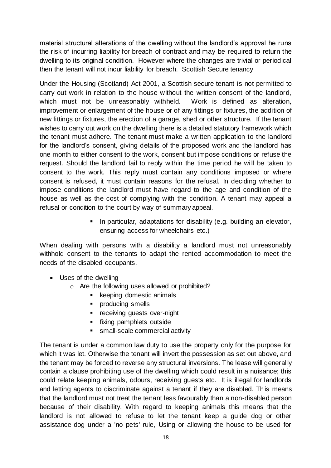material structural alterations of the dwelling without the landlord's approval he runs the risk of incurring liability for breach of contract and may be required to return the dwelling to its original condition. However where the changes are trivial or periodical then the tenant will not incur liability for breach. Scottish Secure tenancy

Under the Housing (Scotland) Act 2001, a Scottish secure tenant is not permitted to carry out work in relation to the house without the written consent of the landlord, which must not be unreasonably withheld. Work is defined as alteration, improvement or enlargement of the house or of any fittings or fixtures, the addition of new fittings or fixtures, the erection of a garage, shed or other structure. If the tenant wishes to carry out work on the dwelling there is a detailed statutory framework which the tenant must adhere. The tenant must make a written application to the landlord for the landlord's consent, giving details of the proposed work and the landlord has one month to either consent to the work, consent but impose conditions or refuse the request. Should the landlord fail to reply within the time period he will be taken to consent to the work. This reply must contain any conditions imposed or where consent is refused, it must contain reasons for the refusal. In deciding whether to impose conditions the landlord must have regard to the age and condition of the house as well as the cost of complying with the condition. A tenant may appeal a refusal or condition to the court by way of summary appeal.

> **IF** In particular, adaptations for disability (e.g. building an elevator, ensuring access for wheelchairs etc.)

When dealing with persons with a disability a landlord must not unreasonably withhold consent to the tenants to adapt the rented accommodation to meet the needs of the disabled occupants.

- Uses of the dwelling
	- o Are the following uses allowed or prohibited?
		- keeping domestic animals
		- **•** producing smells
		- **•** receiving guests over-night
		- **fixing pamphlets outside**
		- **small-scale commercial activity**

The tenant is under a common law duty to use the property only for the purpose for which it was let. Otherwise the tenant will invert the possession as set out above, and the tenant may be forced to reverse any structural inversions. The lease will general ly contain a clause prohibiting use of the dwelling which could result in a nuisance; this could relate keeping animals, odours, receiving guests etc. It is illegal for landlords and letting agents to discriminate against a tenant if they are disabled. This means that the landlord must not treat the tenant less favourably than a non-disabled person because of their disability. With regard to keeping animals this means that the landlord is not allowed to refuse to let the tenant keep a guide dog or other assistance dog under a 'no pets' rule, Using or allowing the house to be used for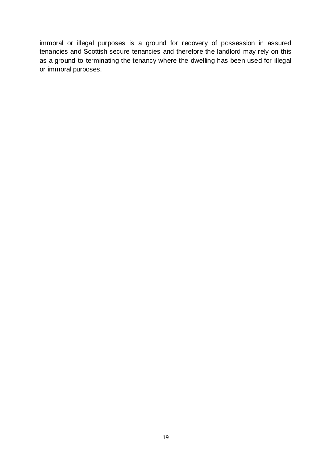immoral or illegal purposes is a ground for recovery of possession in assured tenancies and Scottish secure tenancies and therefore the landlord may rely on this as a ground to terminating the tenancy where the dwelling has been used for illegal or immoral purposes.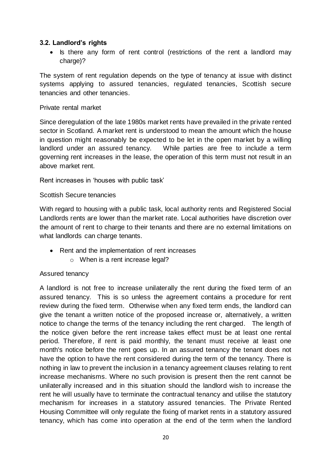#### <span id="page-19-0"></span>**3.2. Landlord's rights**

• Is there any form of rent control (restrictions of the rent a landlord may charge)?

The system of rent regulation depends on the type of tenancy at issue with distinct systems applying to assured tenancies, regulated tenancies, Scottish secure tenancies and other tenancies.

#### Private rental market

Since deregulation of the late 1980s market rents have prevailed in the private rented sector in Scotland. A market rent is understood to mean the amount which the house in question might reasonably be expected to be let in the open market by a willing landlord under an assured tenancy. While parties are free to include a term governing rent increases in the lease, the operation of this term must not result in an above market rent.

Rent increases in 'houses with public task'

#### Scottish Secure tenancies

With regard to housing with a public task, local authority rents and Registered Social Landlords rents are lower than the market rate. Local authorities have discretion over the amount of rent to charge to their tenants and there are no external limitations on what landlords can charge tenants.

- Rent and the implementation of rent increases
	- o When is a rent increase legal?

#### Assured tenancy

A landlord is not free to increase unilaterally the rent during the fixed term of an assured tenancy. This is so unless the agreement contains a procedure for rent review during the fixed term. Otherwise when any fixed term ends, the landlord can give the tenant a written notice of the proposed increase or, alternatively, a written notice to change the terms of the tenancy including the rent charged. The length of the notice given before the rent increase takes effect must be at least one rental period. Therefore, if rent is paid monthly, the tenant must receive at least one month's notice before the rent goes up. In an assured tenancy the tenant does not have the option to have the rent considered during the term of the tenancy. There is nothing in law to prevent the inclusion in a tenancy agreement clauses relating to rent increase mechanisms. Where no such provision is present then the rent cannot be unilaterally increased and in this situation should the landlord wish to increase the rent he will usually have to terminate the contractual tenancy and utilise the statutory mechanism for increases in a statutory assured tenancies. The Private Rented Housing Committee will only regulate the fixing of market rents in a statutory assured tenancy, which has come into operation at the end of the term when the landlord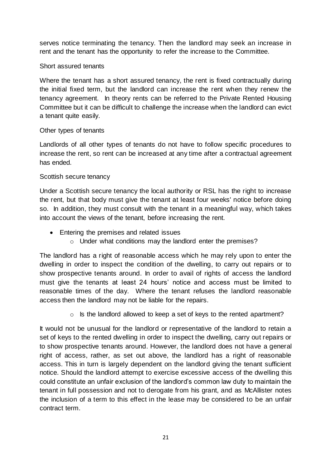serves notice terminating the tenancy. Then the landlord may seek an increase in rent and the tenant has the opportunity to refer the increase to the Committee.

#### Short assured tenants

Where the tenant has a short assured tenancy, the rent is fixed contractually during the initial fixed term, but the landlord can increase the rent when they renew the tenancy agreement. In theory rents can be referred to the Private Rented Housing Committee but it can be difficult to challenge the increase when the landlord can evict a tenant quite easily.

#### Other types of tenants

Landlords of all other types of tenants do not have to follow specific procedures to increase the rent, so rent can be increased at any time after a contractual agreement has ended.

#### Scottish secure tenancy

Under a Scottish secure tenancy the local authority or RSL has the right to increase the rent, but that body must give the tenant at least four weeks' notice before doing so. In addition, they must consult with the tenant in a meaningful way, which takes into account the views of the tenant, before increasing the rent.

- Entering the premises and related issues
	- o Under what conditions may the landlord enter the premises?

The landlord has a right of reasonable access which he may rely upon to enter the dwelling in order to inspect the condition of the dwelling, to carry out repairs or to show prospective tenants around. In order to avail of rights of access the landlord must give the tenants at least 24 hours' notice and access must be limited to reasonable times of the day. Where the tenant refuses the landlord reasonable access then the landlord may not be liable for the repairs.

 $\circ$  Is the landlord allowed to keep a set of keys to the rented apartment?

It would not be unusual for the landlord or representative of the landlord to retain a set of keys to the rented dwelling in order to inspect the dwelling, carry out repairs or to show prospective tenants around. However, the landlord does not have a general right of access, rather, as set out above, the landlord has a right of reasonable access. This in turn is largely dependent on the landlord giving the tenant sufficient notice. Should the landlord attempt to exercise excessive access of the dwelling this could constitute an unfair exclusion of the landlord's common law duty to maintain the tenant in full possession and not to derogate from his grant, and as McAllister notes the inclusion of a term to this effect in the lease may be considered to be an unfair contract term.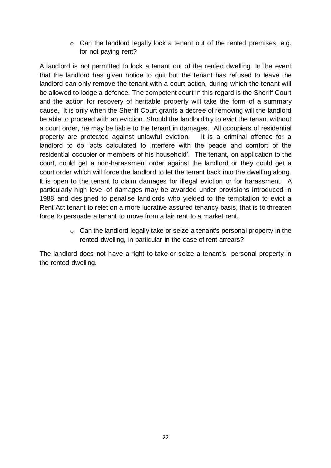o Can the landlord legally lock a tenant out of the rented premises, e.g. for not paying rent?

A landlord is not permitted to lock a tenant out of the rented dwelling. In the event that the landlord has given notice to quit but the tenant has refused to leave the landlord can only remove the tenant with a court action, during which the tenant will be allowed to lodge a defence. The competent court in this regard is the Sheriff Court and the action for recovery of heritable property will take the form of a summary cause. It is only when the Sheriff Court grants a decree of removing will the landlord be able to proceed with an eviction. Should the landlord try to evict the tenant without a court order, he may be liable to the tenant in damages. All occupiers of residential property are protected against unlawful eviction. It is a criminal offence for a landlord to do 'acts calculated to interfere with the peace and comfort of the residential occupier or members of his household'. The tenant, on application to the court, could get a non-harassment order against the landlord or they could get a court order which will force the landlord to let the tenant back into the dwelling along. It is open to the tenant to claim damages for illegal eviction or for harassment. A particularly high level of damages may be awarded under provisions introduced in 1988 and designed to penalise landlords who yielded to the temptation to evict a Rent Act tenant to relet on a more lucrative assured tenancy basis, that is to threaten force to persuade a tenant to move from a fair rent to a market rent.

> o Can the landlord legally take or seize a tenant's personal property in the rented dwelling, in particular in the case of rent arrears?

The landlord does not have a right to take or seize a tenant's personal property in the rented dwelling.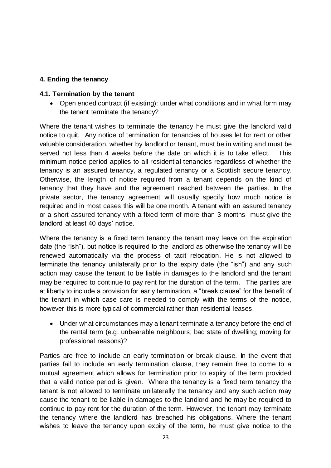### <span id="page-22-0"></span>**4. Ending the tenancy**

#### <span id="page-22-1"></span>**4.1. Termination by the tenant**

• Open ended contract (if existing): under what conditions and in what form may the tenant terminate the tenancy?

Where the tenant wishes to terminate the tenancy he must give the landlord valid notice to quit. Any notice of termination for tenancies of houses let for rent or other valuable consideration, whether by landlord or tenant, must be in writing and must be served not less than 4 weeks before the date on which it is to take effect. This minimum notice period applies to all residential tenancies regardless of whether the tenancy is an assured tenancy, a regulated tenancy or a Scottish secure tenanc y. Otherwise, the length of notice required from a tenant depends on the kind of tenancy that they have and the agreement reached between the parties. In the private sector, the tenancy agreement will usually specify how much notice is required and in most cases this will be one month. A tenant with an assured tenancy or a short assured tenancy with a fixed term of more than 3 months must give the landlord at least 40 days' notice.

Where the tenancy is a fixed term tenancy the tenant may leave on the expir ation date (the "ish"), but notice is required to the landlord as otherwise the tenancy will be renewed automatically via the process of tacit relocation. He is not allowed to terminate the tenancy unilaterally prior to the expiry date (the "ish") and any such action may cause the tenant to be liable in damages to the landlord and the tenant may be required to continue to pay rent for the duration of the term. The parties are at liberty to include a provision for early termination, a "break clause" for the benefit of the tenant in which case care is needed to comply with the terms of the notice, however this is more typical of commercial rather than residential leases.

 Under what circumstances may a tenant terminate a tenancy before the end of the rental term (e.g. unbearable neighbours; bad state of dwelling; moving for professional reasons)?

Parties are free to include an early termination or break clause. In the event that parties fail to include an early termination clause, they remain free to come to a mutual agreement which allows for termination prior to expiry of the term provided that a valid notice period is given. Where the tenancy is a fixed term tenancy the tenant is not allowed to terminate unilaterally the tenancy and any such action may cause the tenant to be liable in damages to the landlord and he may be required to continue to pay rent for the duration of the term. However, the tenant may terminate the tenancy where the landlord has breached his obligations. Where the tenant wishes to leave the tenancy upon expiry of the term, he must give notice to the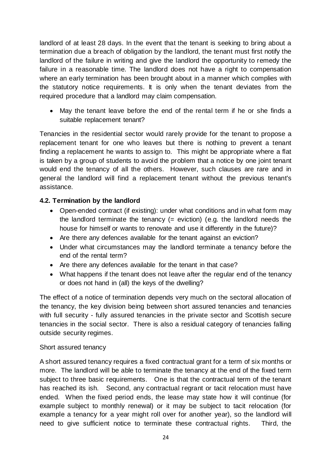landlord of at least 28 days. In the event that the tenant is seeking to bring about a termination due a breach of obligation by the landlord, the tenant must first notify the landlord of the failure in writing and give the landlord the opportunity to remedy the failure in a reasonable time. The landlord does not have a right to compensation where an early termination has been brought about in a manner which complies with the statutory notice requirements. It is only when the tenant deviates from the required procedure that a landlord may claim compensation.

 May the tenant leave before the end of the rental term if he or she finds a suitable replacement tenant?

Tenancies in the residential sector would rarely provide for the tenant to propose a replacement tenant for one who leaves but there is nothing to prevent a tenant finding a replacement he wants to assign to. This might be appropriate where a flat is taken by a group of students to avoid the problem that a notice by one joint tenant would end the tenancy of all the others. However, such clauses are rare and in general the landlord will find a replacement tenant without the previous tenant's assistance.

## <span id="page-23-0"></span>**4.2. Termination by the landlord**

- Open-ended contract (if existing): under what conditions and in what form may the landlord terminate the tenancy  $(=$  eviction) (e.g. the landlord needs the house for himself or wants to renovate and use it differently in the future)?
- Are there any defences available for the tenant against an eviction?
- Under what circumstances may the landlord terminate a tenancy before the end of the rental term?
- Are there any defences available for the tenant in that case?
- What happens if the tenant does not leave after the regular end of the tenancy or does not hand in (all) the keys of the dwelling?

The effect of a notice of termination depends very much on the sectoral allocation of the tenancy, the key division being between short assured tenancies and tenancies with full security - fully assured tenancies in the private sector and Scottish secure tenancies in the social sector. There is also a residual category of tenancies falling outside security regimes.

#### Short assured tenancy

A short assured tenancy requires a fixed contractual grant for a term of six months or more. The landlord will be able to terminate the tenancy at the end of the fixed term subject to three basic requirements. One is that the contractual term of the tenant has reached its ish. Second, any contractual regrant or tacit relocation must have ended. When the fixed period ends, the lease may state how it will continue (for example subject to monthly renewal) or it may be subject to tacit relocation (for example a tenancy for a year might roll over for another year), so the landlord will need to give sufficient notice to terminate these contractual rights. Third, the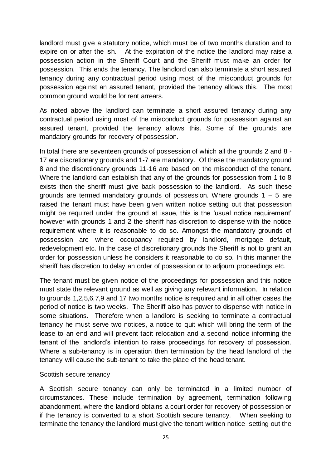landlord must give a statutory notice, which must be of two months duration and to expire on or after the ish. At the expiration of the notice the landlord may raise a possession action in the Sheriff Court and the Sheriff must make an order for possession. This ends the tenancy. The landlord can also terminate a short assured tenancy during any contractual period using most of the misconduct grounds for possession against an assured tenant, provided the tenancy allows this. The most common ground would be for rent arrears.

As noted above the landlord can terminate a short assured tenancy during any contractual period using most of the misconduct grounds for possession against an assured tenant, provided the tenancy allows this. Some of the grounds are mandatory grounds for recovery of possession.

In total there are seventeen grounds of possession of which all the grounds 2 and 8 - 17 are discretionary grounds and 1-7 are mandatory. Of these the mandatory ground 8 and the discretionary grounds 11-16 are based on the misconduct of the tenant. Where the landlord can establish that any of the grounds for possession from 1 to 8 exists then the sheriff must give back possession to the landlord. As such these grounds are termed mandatory grounds of possession. Where grounds  $1 - 5$  are raised the tenant must have been given written notice setting out that possession might be required under the ground at issue, this is the 'usual notice requirement' however with grounds 1 and 2 the sheriff has discretion to dispense with the notice requirement where it is reasonable to do so. Amongst the mandatory grounds of possession are where occupancy required by landlord, mortgage default, redevelopment etc. In the case of discretionary grounds the Sheriff is not to grant an order for possession unless he considers it reasonable to do so. In this manner the sheriff has discretion to delay an order of possession or to adjourn proceedings etc.

The tenant must be given notice of the proceedings for possession and this notice must state the relevant ground as well as giving any relevant information. In relation to grounds 1,2,5,6,7,9 and 17 two months notice is required and in all other cases the period of notice is two weeks. The Sheriff also has power to dispense with notice in some situations. Therefore when a landlord is seeking to terminate a contractual tenancy he must serve two notices, a notice to quit which will bring the term of the lease to an end and will prevent tacit relocation and a second notice informing the tenant of the landlord's intention to raise proceedings for recovery of possession. Where a sub-tenancy is in operation then termination by the head landlord of the tenancy will cause the sub-tenant to take the place of the head tenant.

#### Scottish secure tenancy

A Scottish secure tenancy can only be terminated in a limited number of circumstances. These include termination by agreement, termination following abandonment, where the landlord obtains a court order for recovery of possession or if the tenancy is converted to a short Scottish secure tenancy. When seeking to terminate the tenancy the landlord must give the tenant written notice setting out the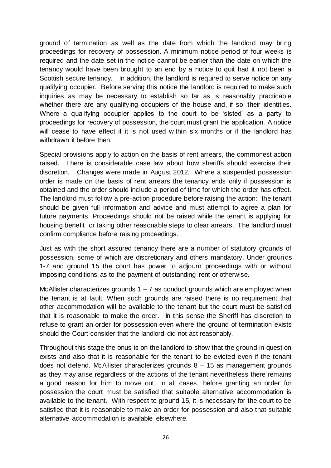ground of termination as well as the date from which the landlord may bring proceedings for recovery of possession. A minimum notice period of four weeks is required and the date set in the notice cannot be earlier than the date on which the tenancy would have been brought to an end by a notice to quit had it not been a Scottish secure tenancy. In addition, the landlord is required to serve notice on any qualifying occupier. Before serving this notice the landlord is required to make such inquiries as may be necessary to establish so far as is reasonably practicable whether there are any qualifying occupiers of the house and, if so, their identities. Where a qualifying occupier applies to the court to be 'sisted' as a party to proceedings for recovery of possession, the court must grant the application. A notice will cease to have effect if it is not used within six months or if the landlord has withdrawn it before then.

Special provisions apply to action on the basis of rent arrears, the commonest action raised. There is considerable case law about how sheriffs should exercise their discretion. Changes were made in August 2012. Where a suspended possession order is made on the basis of rent arrears the tenancy ends only if possession is obtained and the order should include a period of time for which the order has effect. The landlord must follow a pre-action procedure before raising the action: the tenant should be given full information and advice and must attempt to agree a plan for future payments. Proceedings should not be raised while the tenant is applying for housing benefit or taking other reasonable steps to clear arrears. The landlord must confirm compliance before raising proceedings.

Just as with the short assured tenancy there are a number of statutory grounds of possession, some of which are discretionary and others mandatory. Under grounds 1-7 and ground 15 the court has power to adjourn proceedings with or without imposing conditions as to the payment of outstanding rent or otherwise.

McAllister characterizes grounds  $1 - 7$  as conduct grounds which are employed when the tenant is at fault. When such grounds are raised there is no requirement that other accommodation will be available to the tenant but the court must be satisfied that it is reasonable to make the order. In this sense the Sheriff has discretion to refuse to grant an order for possession even where the ground of termination exists should the Court consider that the landlord did not act reasonably.

Throughout this stage the onus is on the landlord to show that the ground in question exists and also that it is reasonable for the tenant to be evicted even if the tenant does not defend. McAllister characterizes grounds 8 – 15 as management grounds as they may arise regardless of the actions of the tenant nevertheless there remains a good reason for him to move out. In all cases, before granting an order for possession the court must be satisfied that suitable alternative accommodation is available to the tenant. With respect to ground 15, it is necessary for the court to be satisfied that it is reasonable to make an order for possession and also that suitable alternative accommodation is available elsewhere.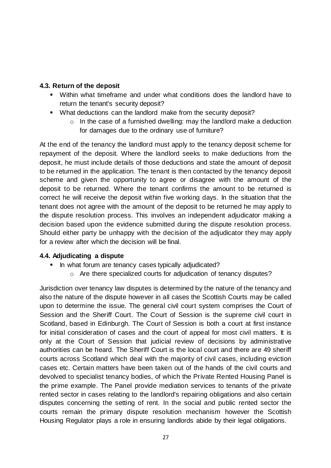## <span id="page-26-0"></span>**4.3. Return of the deposit**

- Within what timeframe and under what conditions does the landlord have to return the tenant's security deposit?
- What deductions can the landlord make from the security deposit?
	- $\circ$  In the case of a furnished dwelling: may the landlord make a deduction for damages due to the ordinary use of furniture?

At the end of the tenancy the landlord must apply to the tenancy deposit scheme for repayment of the deposit. Where the landlord seeks to make deductions from the deposit, he must include details of those deductions and state the amount of deposit to be returned in the application. The tenant is then contacted by the tenancy deposit scheme and given the opportunity to agree or disagree with the amount of the deposit to be returned. Where the tenant confirms the amount to be returned is correct he will receive the deposit within five working days. In the situation that the tenant does not agree with the amount of the deposit to be returned he may apply to the dispute resolution process. This involves an independent adjudicator making a decision based upon the evidence submitted during the dispute resolution process. Should either party be unhappy with the decision of the adjudicator they may apply for a review after which the decision will be final.

# <span id="page-26-1"></span>**4.4. Adjudicating a dispute**

- In what forum are tenancy cases typically adjudicated?
	- o Are there specialized courts for adjudication of tenancy disputes?

Jurisdiction over tenancy law disputes is determined by the nature of the tenancy and also the nature of the dispute however in all cases the Scottish Courts may be called upon to determine the issue. The general civil court system comprises the Court of Session and the Sheriff Court. The Court of Session is the supreme civil court in Scotland, based in Edinburgh. The Court of Session is both a court at first instance for initial consideration of cases and the court of appeal for most civil matters. It is only at the Court of Session that judicial review of decisions by administrative authorities can be heard. The Sheriff Court is the local court and there are 49 sheriff courts across Scotland which deal with the majority of civil cases, including eviction cases etc. Certain matters have been taken out of the hands of the civil courts and devolved to specialist tenancy bodies, of which the Private Rented Housing Panel is the prime example. The Panel provide mediation services to tenants of the private rented sector in cases relating to the landlord's repairing obligations and also certain disputes concerning the setting of rent. In the social and public rented sector the courts remain the primary dispute resolution mechanism however the Scottish Housing Regulator plays a role in ensuring landlords abide by their legal obligations.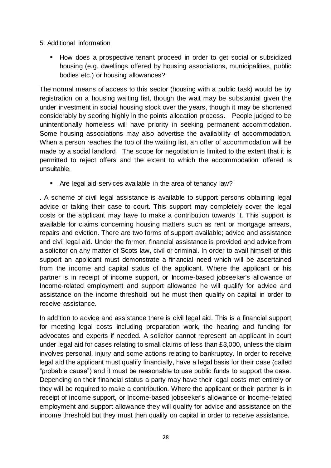- 5. Additional information
	- How does a prospective tenant proceed in order to get social or subsidized housing (e.g. dwellings offered by housing associations, municipalities, public bodies etc.) or housing allowances?

The normal means of access to this sector (housing with a public task) would be by registration on a housing waiting list, though the wait may be substantial given the under investment in social housing stock over the years, though it may be shortened considerably by scoring highly in the points allocation process. People judged to be unintentionally homeless will have priority in seeking permanent accommodation. Some housing associations may also advertise the availability of accommodation. When a person reaches the top of the waiting list, an offer of accommodation will be made by a social landlord. The scope for negotiation is limited to the extent that it is permitted to reject offers and the extent to which the accommodation offered is unsuitable.

Are legal aid services available in the area of tenancy law?

. A scheme of civil legal assistance is available to support persons obtaining legal advice or taking their case to court. This support may completely cover the legal costs or the applicant may have to make a contribution towards it. This support is available for claims concerning housing matters such as rent or mortgage arrears, repairs and eviction. There are two forms of support available; advice and assistance and civil legal aid. Under the former, financial assistance is provided and advice from a solicitor on any matter of Scots law, civil or criminal. In order to avail himself of this support an applicant must demonstrate a financial need which will be ascertained from the income and capital status of the applicant. Where the applicant or his partner is in receipt of income support, or Income-based jobseeker's allowance or Income-related employment and support allowance he will qualify for advice and assistance on the income threshold but he must then qualify on capital in order to receive assistance.

In addition to advice and assistance there is civil legal aid. This is a financial support for meeting legal costs including preparation work, the hearing and funding for advocates and experts if needed. A solicitor cannot represent an applicant in court under legal aid for cases relating to small claims of less than £3,000, unless the claim involves personal, injury and some actions relating to bankruptcy. In order to receive legal aid the applicant must qualify financially, have a legal basis for their case (called "probable cause") and it must be reasonable to use public funds to support the case. Depending on their financial status a party may have their legal costs met entirely or they will be required to make a contribution. Where the applicant or their partner is in receipt of income support, or Income-based jobseeker's allowance or Income-related employment and support allowance they will qualify for advice and assistance on the income threshold but they must then qualify on capital in order to receive assistance.